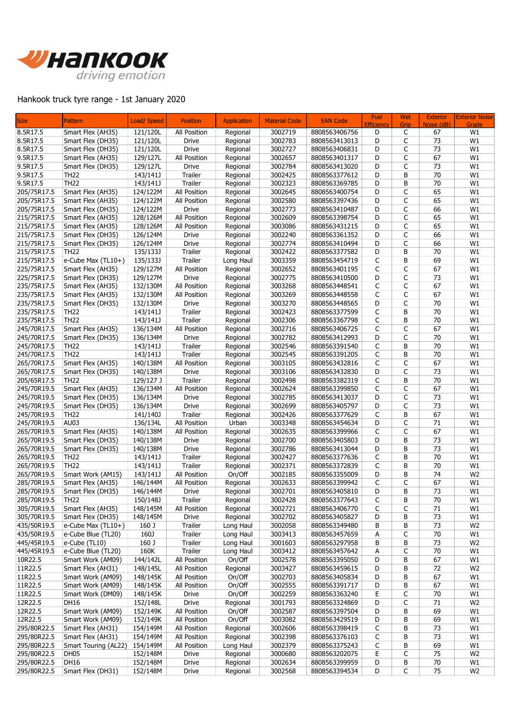

## Hankook truck tyre range - 1st January 2020

| <b>Size</b> | <b>Pattern</b>       | Load/ Speed | <b>Position</b> | <b>Application</b> | <b>Material Code</b> | <b>EAN Code</b> | Fuel<br>Efficiency | Wet<br>Grip | <b>Exterior</b><br>Noise (dB) | <b>Exterior Noise</b><br>Grade |
|-------------|----------------------|-------------|-----------------|--------------------|----------------------|-----------------|--------------------|-------------|-------------------------------|--------------------------------|
| 8.5R17.5    | Smart Flex (AH35)    | 121/120L    | All Position    | Regional           | 3002719              | 8808563406756   | D                  | C           | 67                            | W1                             |
| 8.5R17.5    | Smart Flex (DH35)    | 121/120L    | <b>Drive</b>    | Regional           | 3002783              | 8808563413013   | D                  | C           | 73                            | W1                             |
| 8.5R17.5    | Smart Flex (DH35)    | 121/120L    | Drive           | Regional           | 3002727              | 8808563406831   | D                  | C           | 73                            | W1                             |
| 9.5R17.5    | Smart Flex (AH35)    | 129/127L    | All Position    | Regional           | 3002657              | 8808563401317   | D                  | C           | 67                            | W1                             |
| 9.5R17.5    | Smart Flex (DH35)    | 129/127L    | Drive           | Regional           | 3002784              | 8808563413020   | D                  | C           | 73                            | W1                             |
| 9.5R17.5    | TH22                 | 143/141J    | Trailer         | Regional           | 3002425              | 8808563377612   | D                  | B           | 70                            | W1                             |
| 9.5R17.5    | <b>TH22</b>          | 143/141J    | Trailer         | Regional           | 3002323              | 8808563369785   | D                  | B           | 70                            | W1                             |
| 205/75R17.5 | Smart Flex (AH35)    | 124/122M    | All Position    | Regional           | 3002645              | 8808563400754   | D                  | C           | 65                            | W1                             |
| 205/75R17.5 | Smart Flex (AH35)    | 124/122M    | All Position    | Regional           | 3002580              | 8808563397436   | D                  | C           | 65                            | W1                             |
| 205/75R17.5 | Smart Flex (DH35)    | 124/122M    | Drive           | Regional           | 3002773              | 8808563410487   | D                  | C           | 66                            | W1                             |
| 215/75R17.5 | Smart Flex (AH35)    | 128/126M    | All Position    | Regional           | 3002609              | 8808563398754   | D                  | C           | 65                            | W1                             |
| 215/75R17.5 | Smart Flex (AH35)    | 128/126M    | All Position    | Regional           | 3003086              | 8808563431215   | D                  | C           | 65                            | W1                             |
| 215/75R17.5 | Smart Flex (DH35)    | 126/124M    | Drive           | Regional           | 3002240              | 8808563361352   | D                  | C           | 66                            | W1                             |
| 215/75R17.5 | Smart Flex (DH35)    | 126/124M    | Drive           | Regional           | 3002774              | 8808563410494   | D                  | C           | 66                            | W1                             |
| 215/75R17.5 | <b>TH22</b>          | 135/133J    | Trailer         | Regional           | 3002422              | 8808563377582   | D                  | B           | 70                            | W1                             |
| 215/75R17.5 | e-Cube Max (TL10+)   | 135/133J    | Trailer         | Long Haul          | 3003359              | 8808563454719   | C                  | B           | 69                            | W1                             |
| 225/75R17.5 | Smart Flex (AH35)    | 129/127M    | All Position    | Regional           | 3002652              | 8808563401195   | C                  | C           | 67                            | W1                             |
| 225/75R17.5 | Smart Flex (DH35)    | 129/127M    | Drive           | Regional           | 3002775              | 8808563410500   | D                  | C           | 73                            | W1                             |
| 235/75R17.5 | Smart Flex (AH35)    | 132/130M    | All Position    | Regional           | 3003268              | 8808563448541   | C                  | C           | 67                            | W1                             |
| 235/75R17.5 | Smart Flex (AH35)    | 132/130M    | All Position    | Regional           | 3003269              | 8808563448558   | C                  | C           | 67                            | W1                             |
| 235/75R17.5 | Smart Flex (DH35)    | 132/130M    | Drive           | Regional           | 3003270              | 8808563448565   | D                  | C           | 70                            | W1                             |
| 235/75R17.5 | <b>TH22</b>          | 143/141J    | Trailer         | Regional           | 3002423              | 8808563377599   | C                  | B           | 70                            | W1                             |
| 235/75R17.5 | <b>TH22</b>          | 143/141J    | Trailer         | Regional           | 3002306              | 8808563367798   | C                  | B           | 70                            | W1                             |
| 245/70R17.5 | Smart Flex (AH35)    | 136/134M    | All Position    | Regional           | 3002716              | 8808563406725   | C                  | C           | 67                            | W1                             |
| 245/70R17.5 | Smart Flex (DH35)    | 136/134M    | Drive           | Regional           | 3002782              | 8808563412993   | D                  | C           | 70                            | W1                             |
| 245/70R17.5 | <b>TH22</b>          | 143/141J    | Trailer         | Regional           | 3002546              | 8808563391540   | C                  | B           | 70                            | W1                             |
| 245/70R17.5 | <b>TH22</b>          | 143/141J    | Trailer         | Regional           | 3002545              | 8808563391205   | C                  | B           | 70                            | W1                             |
| 265/70R17.5 | Smart Flex (AH35)    | 140/138M    | All Position    | Regional           | 3003105              | 8808563432816   | C                  | C           | 67                            | W1                             |
| 265/70R17.5 | Smart Flex (DH35)    | 140/138M    | Drive           | Regional           | 3003106              | 8808563432830   | D                  | C           | 73                            | W1                             |
| 205/65R17.5 | <b>TH22</b>          | 129/127 J   | Trailer         | Regional           | 3002498              | 8808563382319   | C                  | B           | 70                            | W1                             |
| 245/70R19.5 | Smart Flex (AH35)    | 136/134M    | All Position    | Regional           | 3002624              | 8808563399850   | C                  | C           | 67                            | W1                             |
| 245/70R19.5 | Smart Flex (DH35)    | 136/134M    | Drive           | Regional           | 3002785              | 8808563413037   | D                  | C           | 73                            | W1                             |
| 245/70R19.5 | Smart Flex (DH35)    | 136/134M    | Drive           | Regional           | 3002699              | 8808563405797   | D                  | C           | 73                            | W1                             |
| 245/70R19.5 | <b>TH22</b>          | 141/140J    | Trailer         | Regional           | 3002426              | 8808563377629   | C                  | B           | 67                            | W1                             |
| 245/70R19.5 | AU03                 | 136/134L    | All Position    | Urban              | 3003348              | 8808563454634   | D                  | C           | 71                            | W1                             |
| 265/70R19.5 | Smart Flex (AH35)    | 140/138M    | All Position    | Regional           | 3002635              | 8808563399966   | C                  | C           | 67                            | W1                             |
| 265/70R19.5 | Smart Flex (DH35)    | 140/138M    | Drive           | Regional           | 3002700              | 8808563405803   | D                  | B           | 73                            | W1                             |
| 265/70R19.5 | Smart Flex (DH35)    | 140/138M    | Drive           | Regional           | 3002786              | 8808563413044   | D                  | B           | 73                            | W1                             |
| 265/70R19.5 | <b>TH22</b>          | 143/141J    | Trailer         | Regional           | 3002427              | 8808563377636   | C                  | B           | 70                            | W1                             |
| 265/70R19.5 | <b>TH22</b>          | 143/141J    | Trailer         | Regional           | 3002371              | 8808563372839   | C                  | B           | 70                            | W1                             |
| 265/70R19.5 | Smart Work (AM15)    | 143/141J    | All Position    | On/Off             | 3002185              | 8808563355009   | D                  | B           | 74                            | W <sub>2</sub>                 |
| 285/70R19.5 | Smart Flex (AH35)    | 146/144M    | All Position    | Regional           | 3002633              | 8808563399942   | C                  | C           | 67                            | W1                             |
| 285/70R19.5 | Smart Flex (DH35)    | 146/144M    | Drive           | Regional           | 3002701              | 8808563405810   | D                  | B           | 73                            | W1                             |
| 285/70R19.5 | <b>TH22</b>          | 150/148J    | Trailer         | Regional           | 3002428              | 8808563377643   | C                  | В           | $70\,$                        | W1                             |
| 305/70R19.5 | Smart Flex (AH35)    | 148/145M    | All Position    | Regional           | 3002721              | 8808563406770   | C                  | C           | 71                            | W1                             |
| 305/70R19.5 | Smart Flex (DH35)    | 148/145M    | Drive           | Regional           | 3002702              | 8808563405827   | D                  | В           | 73                            | W1                             |
| 435/50R19.5 | e-Cube Max (TL10+)   | 160 J       | Trailer         | Long Haul          | 3002058              | 8808563349480   | В                  | В           | 73                            | W <sub>2</sub>                 |
| 435/50R19.5 | e-Cube Blue (TL20)   | 160J        | Trailer         | Long Haul          | 3003413              | 8808563457659   | А                  | С           | 70                            | W1                             |
| 445/45R19.5 | e-Cube (TL10)        | 160 J       | Trailer         | Long Haul          | 3001603              | 8808563297958   | В                  | В           | 73                            | W <sub>2</sub>                 |
| 445/45R19.5 | e-Cube Blue (TL20)   | 160K        | Trailer         | Long Haul          | 3003412              | 8808563457642   | А                  | С           | $70\,$                        | W1                             |
| 10R22.5     | Smart Work (AM09)    | 144/142L    | All Position    | On/Off             | 3002578              | 8808563395050   | D                  | В           | 67                            | W1                             |
| 11R22.5     | Smart Flex (AH31)    | 148/145L    | All Position    | Regional           | 3003427              | 8808563459615   | D                  | В           | 72                            | W <sub>2</sub>                 |
| 11R22.5     | Smart Work (AM09)    | 148/145K    | All Position    | On/Off             | 3002703              | 8808563405834   | D                  | В           | 67                            | W1                             |
| 11R22.5     | Smart Work (AM09)    | 148/145K    | All Position    | On/Off             | 3002555              | 8808563391717   | D                  | В           | 67                            | W1                             |
| 11R22.5     | Smart Work (DM09)    | 148/145K    | Drive           | On/Off             | 3002259              | 8808563363240   | Ε                  | С           | 70                            | W1                             |
| 12R22.5     | <b>DH16</b>          | 152/148L    | Drive           | Regional           | 3001793              | 8808563324869   | D                  | С           | 71                            | W <sub>2</sub>                 |
| 12R22.5     | Smart Work (AM09)    | 152/149K    | All Position    | On/Off             | 3002587              | 8808563397504   | D                  | В           | 69                            | W1                             |
| 12R22.5     | Smart Work (AM09)    | 152/149K    | All Position    | On/Off             | 3003082              | 8808563429519   | D                  | В           | 69                            | W1                             |
| 295/80R22.5 | Smart Flex (AH31)    | 154/149M    | All Position    | Regional           | 3002606              | 8808563398419   | С                  | В           | 73                            | W1                             |
| 295/80R22.5 | Smart Flex (AH31)    | 154/149M    | All Position    | Regional           | 3002398              | 8808563376103   | C                  | В           | 73                            | W1                             |
| 295/80R22.5 | Smart Touring (AL22) | 154/149M    | All Position    | Long Haul          | 3002379              | 8808563375243   | С                  | В           | 69                            | W1                             |
| 295/80R22.5 | DH <sub>05</sub>     | 152/148M    | Drive           | Regional           | 3000680              | 8808563202075   | Ε                  | С           | 75                            | W <sub>2</sub>                 |
| 295/80R22.5 | <b>DH16</b>          | 152/148M    | Drive           | Regional           | 3002634              | 8808563399959   | D                  | В           | 70                            | W1                             |
| 295/80R22.5 | Smart Flex (DH31)    | 152/148M    | Drive           | Regional           | 3002568              | 8808563394534   | D                  | C           | 75                            | W <sub>2</sub>                 |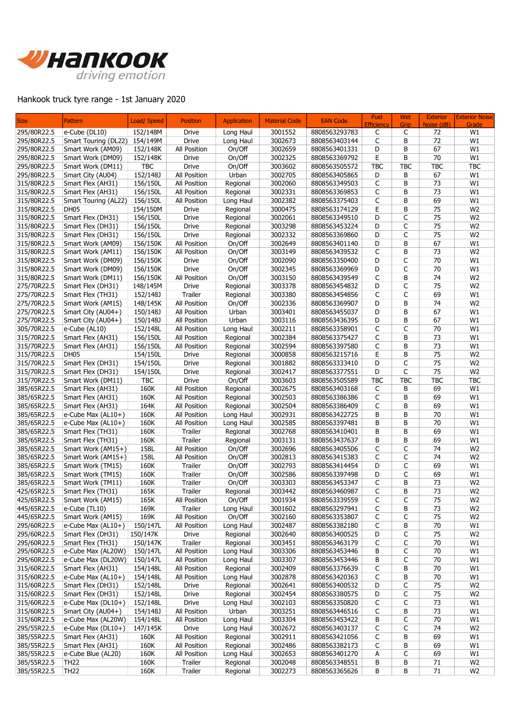

## Hankook truck tyre range - 1st January 2020

| <b>Size</b> | Pattern              | Load/ Speed | <b>Position</b> | <b>Application</b> | <b>Material Code</b> | <b>EAN Code</b> | Fuel<br><b>Efficiency</b> | Wet<br>Grip | <b>Exterior</b><br>Noise (dB) | <b>Exterior Noise</b><br>Grade |
|-------------|----------------------|-------------|-----------------|--------------------|----------------------|-----------------|---------------------------|-------------|-------------------------------|--------------------------------|
| 295/80R22.5 | e-Cube (DL10)        | 152/148M    | Drive           | Long Haul          | 3001552              | 8808563293783   | C                         | C           | 72                            | W1                             |
| 295/80R22.5 | Smart Touring (DL22) | 154/149M    | Drive           | Long Haul          | 3002673              | 8808563403144   | C                         | B           | 72                            | W1                             |
| 295/80R22.5 | Smart Work (AM09)    | 152/148K    | All Position    | On/Off             | 3002659              | 8808563401331   | D                         | B           | 67                            | W1                             |
| 295/80R22.5 | Smart Work (DM09)    | 152/148K    | <b>Drive</b>    | On/Off             | 3002325              | 8808563369792   | Е                         | B           | 70                            | W1                             |
| 295/80R22.5 | Smart Work (DM11)    | <b>TBC</b>  | Drive           | On/Off             | 3003602              | 8808563505572   | <b>TBC</b>                | <b>TBC</b>  | <b>TBC</b>                    | <b>TBC</b>                     |
| 295/80R22.5 | Smart City (AU04)    | 152/148J    | All Position    | Urban              | 3002705              | 8808563405865   | D                         | B           | 67                            | W1                             |
| 315/80R22.5 | Smart Flex (AH31)    | 156/150L    | All Position    | Regional           | 3002060              | 8808563349503   | C                         | B           | 73                            | W1                             |
| 315/80R22.5 | Smart Flex (AH31)    | 156/150L    | All Position    | Regional           | 3002331              | 8808563369853   | С                         | B           | 73                            | W1                             |
| 315/80R22.5 | Smart Touring (AL22) | 156/150L    | All Position    | Long Haul          | 3002382              | 8808563375403   | C                         | B           | 69                            | W1                             |
| 315/80R22.5 | DH <sub>05</sub>     | 154/150M    | Drive           | Regional           | 3000475              | 8808563174129   | E                         | B           | 75                            | W <sub>2</sub>                 |
| 315/80R22.5 | Smart Flex (DH31)    | 156/150L    | Drive           | Regional           | 3002061              | 8808563349510   | D                         | C           | 75                            | W <sub>2</sub>                 |
| 315/80R22.5 | Smart Flex (DH31)    | 156/150L    | <b>Drive</b>    | Regional           | 3003298              | 8808563453224   | D                         | C           | 75                            | W <sub>2</sub>                 |
| 315/80R22.5 | Smart Flex (DH31)    | 156/150L    | <b>Drive</b>    | Regional           | 3002332              | 8808563369860   | D                         | C           | 75                            | W <sub>2</sub>                 |
| 315/80R22.5 | Smart Work (AM09)    | 156/150K    | All Position    | On/Off             | 3002649              | 8808563401140   | D                         | B           | 67                            | W1                             |
| 315/80R22.5 | Smart Work (AM11)    | 156/150K    | All Position    | On/Off             | 3003149              | 8808563439532   | C                         | B           | 73                            | W <sub>2</sub>                 |
| 315/80R22.5 | Smart Work (DM09)    | 156/150K    | Drive           | On/Off             | 3002090              | 8808563350400   | D                         | C           | 70                            | W1                             |
| 315/80R22.5 | Smart Work (DM09)    | 156/150K    | Drive           | On/Off             | 3002345              | 8808563369969   | D                         | C           | 70                            | W1                             |
| 315/80R22.5 | Smart Work (DM11)    | 156/150K    | All Position    | On/Off             | 3003150              | 8808563439549   | C                         | В           | 74                            | W <sub>2</sub>                 |
| 275/70R22.5 | Smart Flex (DH31)    | 148/145M    | <b>Drive</b>    | Regional           | 3003378              | 8808563454832   | D                         | C           | 75                            | W <sub>2</sub>                 |
| 275/70R22.5 | Smart Flex (TH31)    | 152/148J    | Trailer         | Regional           | 3003380              | 8808563454856   | C                         | C           | 69                            | W1                             |
| 275/70R22.5 | Smart Work (AM15)    | 148/145K    | All Position    | On/Off             | 3002336              | 8808563369907   | D                         | B           | 74                            | W <sub>2</sub>                 |
| 275/70R22.5 | Smart City (AU04+)   | 150/148J    | All Position    | Urban              | 3003401              | 8808563455037   | D                         | B           | 67                            | W1                             |
| 275/70R22.5 | Smart City (AU04+)   | 150/148J    | All Position    | Urban              | 3003116              | 8808563436395   | D                         | B           | 67                            | W1                             |
| 305/70R22.5 | e-Cube (AL10)        | 152/148L    | All Position    | Long Haul          | 3002211              | 8808563358901   | C                         | C           | 70                            | W1                             |
| 315/70R22.5 | Smart Flex (AH31)    | 156/150L    | All Position    | Regional           | 3002384              | 8808563375427   | C                         | В           | 73                            | W1                             |
| 315/70R22.5 | Smart Flex (AH31)    | 156/150L    | All Position    | Regional           | 3002594              | 8808563397580   | C                         | B           | 73                            | W1                             |
| 315/70R22.5 | DH <sub>05</sub>     | 154/150L    | <b>Drive</b>    | Regional           | 3000858              | 8808563215716   | E                         | B           | 75                            | W <sub>2</sub>                 |
| 315/70R22.5 | Smart Flex (DH31)    | 154/150L    | <b>Drive</b>    | Regional           | 3001882              | 8808563333410   | D                         | C           | 75                            | W <sub>2</sub>                 |
| 315/70R22.5 | Smart Flex (DH31)    | 154/150L    | Drive           | Regional           | 3002417              | 8808563377551   | D                         | C           | 75                            | W <sub>2</sub>                 |
| 315/70R22.5 | Smart Work (DM11)    | TBC         | Drive           | On/Off             | 3003603              | 8808563505589   | <b>TBC</b>                | <b>TBC</b>  | <b>TBC</b>                    | <b>TBC</b>                     |
| 385/65R22.5 | Smart Flex (AH31)    | 160K        | All Position    | Regional           | 3002675              | 8808563403168   | С                         | В           | 69                            | W1                             |
| 385/65R22.5 | Smart Flex (AH31)    | 160K        | All Position    | Regional           | 3002503              | 8808563386386   | C                         | B           | 69                            | W1                             |
| 385/65R22.5 | Smart Flex (AH31)    | 164K        | All Position    | Regional           | 3002504              | 8808563386409   | C                         | B           | 69                            | W1                             |
| 385/65R22.5 | e-Cube Max (AL10+)   | 160K        | All Position    | Long Haul          | 3002931              | 8808563422725   | B                         | B           | 70                            | W1                             |
| 385/65R22.5 | e-Cube Max $(AL10+)$ | 160K        | All Position    | Long Haul          | 3002585              | 8808563397481   | В                         | B           | 70                            | W1                             |
| 385/65R22.5 | Smart Flex (TH31)    | 160K        | Trailer         | Regional           | 3002768              | 8808563410401   | B                         | B           | 69                            | W1                             |
| 385/65R22.5 | Smart Flex (TH31)    | 160K        | Trailer         | Regional           | 3003131              | 8808563437637   | B                         | B           | 69                            | W1                             |
| 385/65R22.5 | Smart Work (AM15+)   | 158L        | All Position    | On/Off             | 3002696              | 8808563405506   | C                         | C           | 74                            | W <sub>2</sub>                 |
| 385/65R22.5 | Smart Work (AM15+)   | 158L        | All Position    | On/Off             | 3002813              | 8808563415383   | C                         | C           | 74                            | W <sub>2</sub>                 |
| 385/65R22.5 | Smart Work (TM15)    | 160K        | Trailer         | On/Off             | 3002793              | 8808563414454   | D                         | C           | 69                            | W1                             |
| 385/65R22.5 | Smart Work (TM15)    | 160K        | Trailer         | On/Off             | 3002586              | 8808563397498   | D                         | C           | 69                            | W1                             |
| 385/65R22.5 | Smart Work (TM11)    | 160K        | Trailer         | On/Off             | 3003303              | 8808563453347   | C                         | В           | 73                            | W <sub>2</sub>                 |
| 425/65R22.5 | Smart Flex (TH31)    | 165K        | Trailer         | Regional           | 3003442              | 8808563460987   | C                         | B           | 73                            | W <sub>2</sub>                 |
| 425/65R22.5 | Smart Work (AM15)    | 165K        | All Position    | On/Off             | 3001934              | 8808563339559   | C                         | С           | 75                            | W <sub>2</sub>                 |
| 445/65R22.5 | e-Cube (TL10)        | 169K        | Trailer         | Long Haul          | 3001602              | 8808563297941   | C                         | В           | 73                            | W <sub>2</sub>                 |
| 445/65R22.5 | Smart Work (AM15)    | 169K        | All Position    | On/Off             | 3002160              | 8808563353807   | C                         | С           | 75                            | W <sub>2</sub>                 |
| 295/60R22.5 | e-Cube Max (AL10+)   | 150/147L    | All Position    | Long Haul          | 3002487              | 8808563382180   | C                         | В           | $70\,$                        | W1                             |
| 295/60R22.5 | Smart Flex (DH31)    | 150/147K    | Drive           | Regional           | 3002640              | 8808563400525   | D                         | С           | 75                            | W <sub>2</sub>                 |
| 295/60R22.5 | Smart Flex (TH31)    | 150/147K    | Trailer         | Regional           | 3003451              | 8808563463179   | С                         | С           | 70                            | W1                             |
| 295/60R22.5 | e-Cube Max (AL20W)   | 150/147L    | All Position    | Long Haul          | 3003306              | 8808563453446   | В                         | С           | $70\,$                        | W1                             |
| 295/60R22.5 | e-Cube Max (DL20W)   | 150/147L    | All Position    | Long Haul          | 3003307              | 8808563453446   | В                         | C           | 70                            | W1                             |
| 315/60R22.5 | Smart Flex (AH31)    | 154/148L    | All Position    | Regional           | 3002409              | 8808563376639   | С                         | В           | 70                            | W1                             |
| 315/60R22.5 | e-Cube Max (AL10+)   | 154/148L    | All Position    | Long Haul          | 3002878              | 8808563420363   | С                         | В           | 70                            | W1                             |
| 315/60R22.5 | Smart Flex (DH31)    | 152/148L    | Drive           | Regional           | 3002641              | 8808563400532   | D                         | С           | 75                            | W <sub>2</sub>                 |
| 315/60R22.5 | Smart Flex (DH31)    | 152/148L    | Drive           | Regional           | 3002454              | 8808563380575   | D                         | С           | 75                            | W <sub>2</sub>                 |
| 315/60R22.5 | e-Cube Max (DL10+)   | 152/148L    | Drive           | Long Haul          | 3002103              | 8808563350820   | С                         | С           | 73                            | W1                             |
| 315/60R22.5 | Smart City (AU04+)   | 154/148J    | All Position    | Urban              | 3003251              | 8808563446516   | С                         | В           | 73                            | W1                             |
| 315/60R22.5 | e-Cube Max (AL20W)   | 154/148L    | All Position    | Long Haul          | 3003304              | 8808563453422   | В                         | С           | 70                            | W1                             |
| 295/55R22.5 | e-Cube Max (DL10+)   | 147/145K    | Drive           | Long Haul          | 3002672              | 8808563403137   | С                         | С           | 74                            | W <sub>2</sub>                 |
| 385/55R22.5 | Smart Flex (AH31)    | 160K        | All Position    | Regional           | 3002911              | 8808563421056   | С                         | В           | 69                            | W1                             |
| 385/55R22.5 | Smart Flex (AH31)    | 160K        | All Position    | Regional           | 3002486              | 8808563382173   | С                         | В           | 69                            | W1                             |
| 385/55R22.5 | e-Cube Blue (AL20)   | 160K        | All Position    | Long Haul          | 3002653              | 8808563401270   | Α                         | C           | 69                            | W1                             |
| 385/55R22.5 | <b>TH22</b>          | 160K        | Trailer         | Regional           | 3002048              | 8808563348551   | В                         | В           | 71                            | W <sub>2</sub>                 |
| 385/55R22.5 | <b>TH22</b>          | 160K        | Trailer         | Regional           | 3002273              | 8808563365626   | В                         | В           | 71                            | W <sub>2</sub>                 |